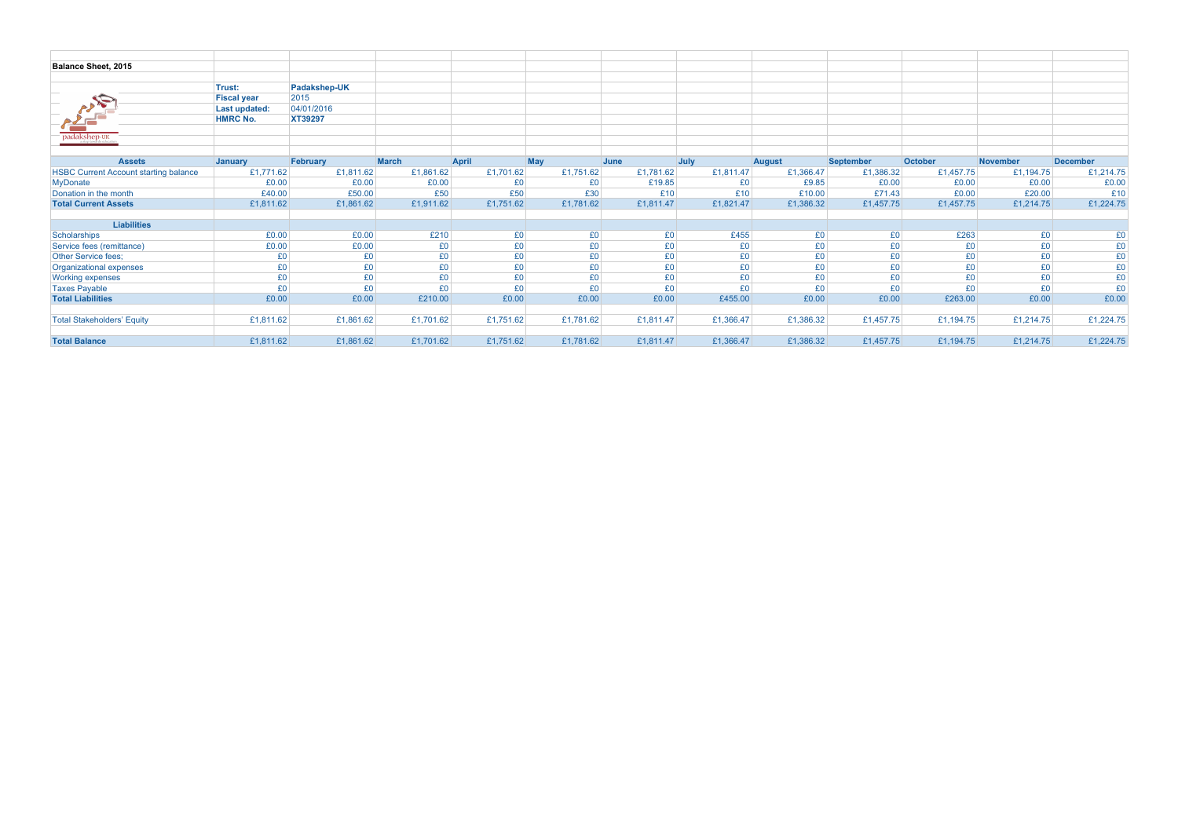| Balance Sheet, 2015                          |                    |              |              |           |           |           |           |               |           |                |                 |                 |
|----------------------------------------------|--------------------|--------------|--------------|-----------|-----------|-----------|-----------|---------------|-----------|----------------|-----------------|-----------------|
|                                              |                    |              |              |           |           |           |           |               |           |                |                 |                 |
|                                              | Trust:             | Padakshep-UK |              |           |           |           |           |               |           |                |                 |                 |
| $\mathscr{P}_{\mathscr{A}}$                  | <b>Fiscal year</b> | 2015         |              |           |           |           |           |               |           |                |                 |                 |
|                                              | Last updated:      | 04/01/2016   |              |           |           |           |           |               |           |                |                 |                 |
|                                              | <b>HMRC No.</b>    | XT39297      |              |           |           |           |           |               |           |                |                 |                 |
|                                              |                    |              |              |           |           |           |           |               |           |                |                 |                 |
|                                              |                    |              |              |           |           |           |           |               |           |                |                 |                 |
|                                              |                    |              |              |           |           |           |           |               |           |                |                 |                 |
| <b>Assets</b>                                | <b>January</b>     | February     | <b>March</b> | April     | May       | June      | July      | <b>August</b> | September | October        | <b>November</b> | <b>December</b> |
| <b>HSBC Current Account starting balance</b> | £1,771.62          | £1,811.62    | £1,861.62    | £1,701.62 | £1,751.62 | £1,781.62 | £1,811.47 | £1,366.47     | £1,386.32 | £1,457.75      | £1,194.75       | £1,214.75       |
| <b>MyDonate</b>                              | £0.00              | £0.00        | £0.00        | £0        | £0        | £19.85    | £0        | £9.85         | £0.00     | £0.00          | £0.00           | £0.00           |
| Donation in the month                        | £40.00             | £50.00       | £50          | £50       | £30       | £10       | £10       | £10.00        | £71.43    | £0.00          | £20.00          | £10             |
| <b>Total Current Assets</b>                  | £1,811.62          | £1,861.62    | £1,911.62    | £1,751.62 | £1,781.62 | £1,811.47 | £1,821.47 | £1,386.32     | £1,457.75 | £1,457.75      | £1,214.75       | £1,224.75       |
|                                              |                    |              |              |           |           |           |           |               |           |                |                 |                 |
| <b>Liabilities</b>                           |                    |              |              |           |           |           |           |               |           |                |                 |                 |
| Scholarships                                 | £0.00              | £0.00        | £210         | £0        | £0        | £0        | £455      | £0            | £0        | £263           | £0              | £0              |
| Service fees (remittance)                    | £0.00              | £0.00        | £0           | £0        | £0        | £0        | £0        | £0            | £0        | E <sub>0</sub> | £0              | £0              |
| Other Service fees;                          | £0                 | £0           | £0           | £0        | £0        | £0        | £0        | £0            | £0        | £0             | £0              | £0              |
| Organizational expenses                      | £0                 | £0           | £0           | £0        | £0        | £0        | £0        | £0            | £0        | £0             | £0              | £0              |
| <b>Working expenses</b>                      | £0                 | £0           | £0           | £0        | £0        | £0        | £0        | £0            | £0        | £0             | £0              | £0              |
| <b>Taxes Payable</b>                         | £0                 | £0           | £0           | £0        | £0        | £0        | £0        | £0            | £0        | £0             | £0              | £0              |
| <b>Total Liabilities</b>                     | £0.00              | £0.00        | £210.00      | £0.00     | £0.00     | £0.00     | £455.00   | £0.00         | £0.00     | £263.00        | £0.00           | £0.00           |
|                                              |                    |              |              |           |           |           |           |               |           |                |                 |                 |
| <b>Total Stakeholders' Equity</b>            | £1,811.62          | £1,861.62    | £1,701.62    | £1,751.62 | £1,781.62 | £1,811.47 | £1,366.47 | £1,386.32     | £1,457.75 | £1,194.75      | £1,214.75       | £1,224.75       |
|                                              |                    |              |              |           |           |           |           |               |           |                |                 |                 |
| <b>Total Balance</b>                         | £1,811.62          | £1,861.62    | £1,701.62    | £1,751.62 | £1,781.62 | £1,811.47 | £1,366.47 | £1,386.32     | £1,457.75 | £1,194.75      | £1,214.75       | £1,224.75       |